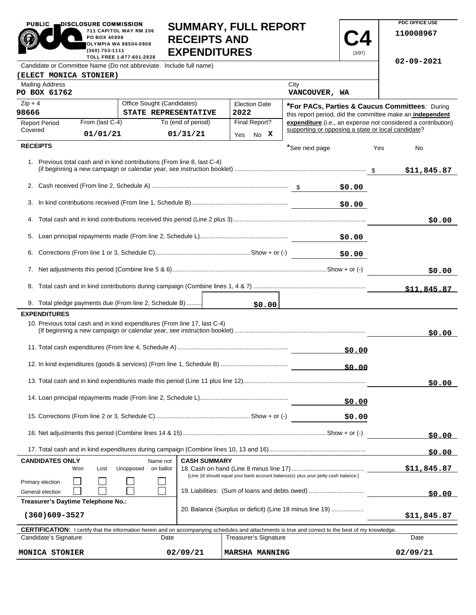| <b>PUBLIC</b>                                                                                            | DISCLOSURE COMMISSION |                                    |                                                                           |                                                                                                                                                            |                                                    |                  | PDC OFFICE USE                                               |
|----------------------------------------------------------------------------------------------------------|-----------------------|------------------------------------|---------------------------------------------------------------------------|------------------------------------------------------------------------------------------------------------------------------------------------------------|----------------------------------------------------|------------------|--------------------------------------------------------------|
| 711 CAPITOL WAY RM 206<br>PO BOX 40908<br><b>OLYMPIA WA 98504-0908</b><br>(360) 753-1111                 |                       |                                    | <b>SUMMARY, FULL REPORT</b><br><b>RECEIPTS AND</b><br><b>EXPENDITURES</b> |                                                                                                                                                            |                                                    | 110008967        |                                                              |
| (3/97)<br>TOLL FREE 1-877-601-2828<br>Candidate or Committee Name (Do not abbreviate. Include full name) |                       |                                    |                                                                           |                                                                                                                                                            |                                                    | $02 - 09 - 2021$ |                                                              |
| (ELECT MONICA STONIER)                                                                                   |                       |                                    |                                                                           |                                                                                                                                                            |                                                    |                  |                                                              |
| <b>Mailing Address</b><br>PO BOX 61762                                                                   |                       |                                    |                                                                           |                                                                                                                                                            | City<br>VANCOUVER, WA                              |                  |                                                              |
| $Zip + 4$                                                                                                |                       | Office Sought (Candidates)         |                                                                           | <b>Election Date</b>                                                                                                                                       |                                                    |                  | *For PACs, Parties & Caucus Committees: During               |
| 98666                                                                                                    |                       |                                    | STATE REPRESENTATIVE                                                      | 2022                                                                                                                                                       |                                                    |                  | this report period, did the committee make an independent    |
| <b>Report Period</b><br>Covered                                                                          | From (last C-4)       |                                    | To (end of period)                                                        | Final Report?                                                                                                                                              | supporting or opposing a state or local candidate? |                  | expenditure (i.e., an expense not considered a contribution) |
|                                                                                                          | 01/01/21              |                                    | 01/31/21                                                                  | Yes No X                                                                                                                                                   |                                                    |                  |                                                              |
| <b>RECEIPTS</b>                                                                                          |                       |                                    |                                                                           |                                                                                                                                                            | *See next page                                     |                  | Yes<br>No                                                    |
|                                                                                                          |                       |                                    | 1. Previous total cash and in kind contributions (From line 8, last C-4)  |                                                                                                                                                            |                                                    |                  | \$11,845.87                                                  |
|                                                                                                          |                       |                                    |                                                                           |                                                                                                                                                            |                                                    | \$0.00           |                                                              |
|                                                                                                          |                       |                                    |                                                                           |                                                                                                                                                            |                                                    | \$0.00           |                                                              |
|                                                                                                          |                       |                                    |                                                                           |                                                                                                                                                            |                                                    |                  | \$0.00                                                       |
|                                                                                                          |                       |                                    |                                                                           |                                                                                                                                                            |                                                    | \$0.00           |                                                              |
|                                                                                                          | \$0.00                |                                    |                                                                           |                                                                                                                                                            |                                                    |                  |                                                              |
|                                                                                                          |                       |                                    |                                                                           |                                                                                                                                                            |                                                    |                  | \$0.00                                                       |
|                                                                                                          |                       |                                    |                                                                           |                                                                                                                                                            |                                                    |                  | \$11,845.87                                                  |
| 9. Total pledge payments due (From line 2, Schedule B)                                                   |                       |                                    |                                                                           | \$0.00                                                                                                                                                     |                                                    |                  |                                                              |
| <b>EXPENDITURES</b>                                                                                      |                       |                                    |                                                                           |                                                                                                                                                            |                                                    |                  |                                                              |
|                                                                                                          |                       |                                    | 10. Previous total cash and in kind expenditures (From line 17, last C-4) |                                                                                                                                                            |                                                    |                  | \$0.00                                                       |
|                                                                                                          |                       |                                    |                                                                           |                                                                                                                                                            |                                                    | \$0.00           |                                                              |
| \$0.00                                                                                                   |                       |                                    |                                                                           |                                                                                                                                                            |                                                    |                  |                                                              |
|                                                                                                          |                       |                                    |                                                                           |                                                                                                                                                            |                                                    |                  | \$0.00                                                       |
| \$0.00                                                                                                   |                       |                                    |                                                                           |                                                                                                                                                            |                                                    |                  |                                                              |
|                                                                                                          |                       |                                    |                                                                           |                                                                                                                                                            |                                                    | \$0.00           |                                                              |
|                                                                                                          |                       |                                    |                                                                           |                                                                                                                                                            | \$0.00                                             |                  |                                                              |
|                                                                                                          |                       |                                    |                                                                           |                                                                                                                                                            |                                                    |                  | \$0.00                                                       |
| <b>CANDIDATES ONLY</b>                                                                                   | Won<br>Lost           | Name not<br>Unopposed<br>on ballot | <b>CASH SUMMARY</b>                                                       | [Line 18 should equal your bank account balance(s) plus your petty cash balance.]                                                                          |                                                    |                  | \$11,845.87                                                  |
| Primary election<br>General election                                                                     |                       |                                    |                                                                           | 19. Liabilities: (Sum of loans and debts owed)                                                                                                             |                                                    |                  | \$0.00                                                       |
| Treasurer's Daytime Telephone No.:                                                                       |                       |                                    |                                                                           |                                                                                                                                                            |                                                    |                  |                                                              |
| 20. Balance (Surplus or deficit) (Line 18 minus line 19)<br>$(360)609 - 3527$                            |                       |                                    |                                                                           |                                                                                                                                                            |                                                    | \$11,845.87      |                                                              |
|                                                                                                          |                       |                                    |                                                                           | <b>CERTIFICATION:</b> I certify that the information herein and on accompanying schedules and attachments is true and correct to the best of my knowledge. |                                                    |                  |                                                              |
| Candidate's Signature                                                                                    |                       |                                    | Date                                                                      | <b>Treasurer's Signature</b>                                                                                                                               |                                                    |                  | Date                                                         |

**MONICA STONIER 02/09/21 MARSHA MANNING 02/09/21**

**PDC OFFICE USE** 

 $02/09/21$ 

PUBLIC DISCLOSURE COMMISSION